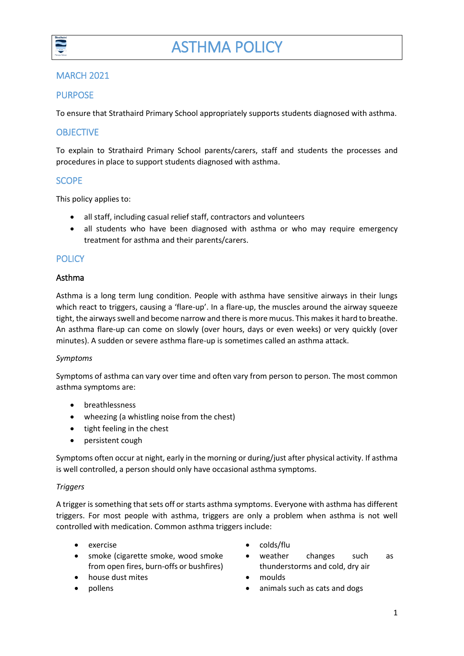

# MARCH 2021

# PURPOSE

To ensure that Strathaird Primary School appropriately supports students diagnosed with asthma.

## **OBJECTIVE**

To explain to Strathaird Primary School parents/carers, staff and students the processes and procedures in place to support students diagnosed with asthma.

### **SCOPE**

This policy applies to:

- all staff, including casual relief staff, contractors and volunteers
- all students who have been diagnosed with asthma or who may require emergency treatment for asthma and their parents/carers.

### **POLICY**

#### Asthma

Asthma is a long term lung condition. People with asthma have sensitive airways in their lungs which react to triggers, causing a 'flare-up'. In a flare-up, the muscles around the airway squeeze tight, the airways swell and become narrow and there is more mucus. This makes it hard to breathe. An asthma flare-up can come on slowly (over hours, days or even weeks) or very quickly (over minutes). A sudden or severe asthma flare-up is sometimes called an asthma attack.

#### *Symptoms*

Symptoms of asthma can vary over time and often vary from person to person. The most common asthma symptoms are:

- breathlessness
- wheezing (a whistling noise from the chest)
- tight feeling in the chest
- persistent cough

Symptoms often occur at night, early in the morning or during/just after physical activity. If asthma is well controlled, a person should only have occasional asthma symptoms.

#### *Triggers*

A trigger is something that sets off or starts asthma symptoms. Everyone with asthma has different triggers. For most people with asthma, triggers are only a problem when asthma is not well controlled with medication. Common asthma triggers include:

- 
- smoke (cigarette smoke, wood smoke from open fires, burn-offs or bushfires)
- house dust mites **moulds**
- 
- exercise exercise exercise
	- weather changes such as thunderstorms and cold, dry air
	-
	- pollens **but a controller and the controller of the controller of the controller of the controller of the controller of the controller of the controller of the controller of the controller of the controller of the controll**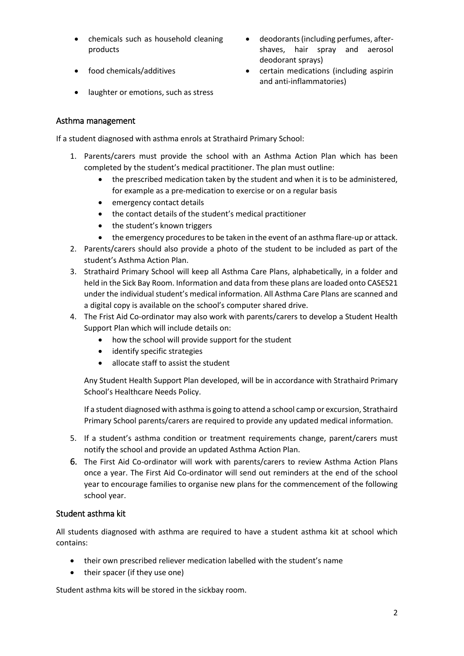- chemicals such as household cleaning products
- 
- laughter or emotions, such as stress
- Asthma management

If a student diagnosed with asthma enrols at Strathaird Primary School:

- 1. Parents/carers must provide the school with an Asthma Action Plan which has been completed by the student's medical practitioner. The plan must outline:
	- the prescribed medication taken by the student and when it is to be administered, for example as a pre-medication to exercise or on a regular basis
	- emergency contact details
	- the contact details of the student's medical practitioner
	- the student's known triggers
	- the emergency procedures to be taken in the event of an asthma flare-up or attack.
- 2. Parents/carers should also provide a photo of the student to be included as part of the student's Asthma Action Plan.
- 3. Strathaird Primary School will keep all Asthma Care Plans, alphabetically, in a folder and held in the Sick Bay Room. Information and data from these plans are loaded onto CASES21 under the individual student's medical information. All Asthma Care Plans are scanned and a digital copy is available on the school's computer shared drive.
- 4. The Frist Aid Co-ordinator may also work with parents/carers to develop a Student Health Support Plan which will include details on:
	- how the school will provide support for the student
	- identify specific strategies
	- allocate staff to assist the student

Any Student Health Support Plan developed, will be in accordance with Strathaird Primary School's Healthcare Needs Policy.

If a student diagnosed with asthma is going to attend a school camp or excursion, Strathaird Primary School parents/carers are required to provide any updated medical information.

- 5. If a student's asthma condition or treatment requirements change, parent/carers must notify the school and provide an updated Asthma Action Plan.
- 6. The First Aid Co-ordinator will work with parents/carers to review Asthma Action Plans once a year. The First Aid Co-ordinator will send out reminders at the end of the school year to encourage families to organise new plans for the commencement of the following school year.

# Student asthma kit

All students diagnosed with asthma are required to have a student asthma kit at school which contains:

- their own prescribed reliever medication labelled with the student's name
- their spacer (if they use one)

Student asthma kits will be stored in the sickbay room.

- deodorants (including perfumes, aftershaves, hair spray and aerosol deodorant sprays)
- food chemicals/additives certain medications (including aspirin and anti-inflammatories)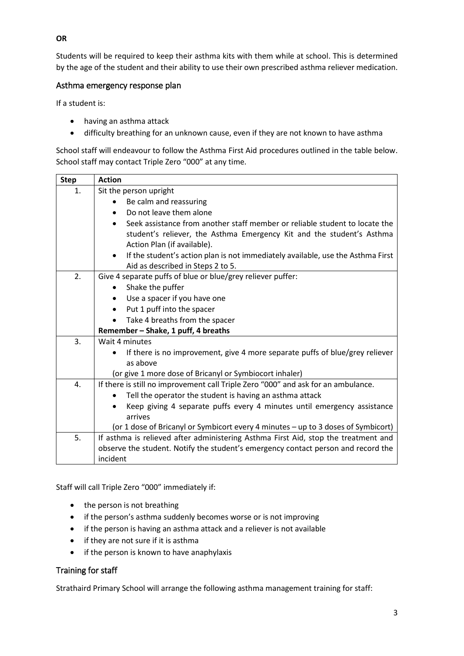Students will be required to keep their asthma kits with them while at school. This is determined by the age of the student and their ability to use their own prescribed asthma reliever medication.

### Asthma emergency response plan

If a student is:

- having an asthma attack
- difficulty breathing for an unknown cause, even if they are not known to have asthma

School staff will endeavour to follow the Asthma First Aid procedures outlined in the table below. School staff may contact Triple Zero "000" at any time.

| <b>Step</b> | <b>Action</b>                                                                                                                                                     |  |  |  |  |  |
|-------------|-------------------------------------------------------------------------------------------------------------------------------------------------------------------|--|--|--|--|--|
| 1.          | Sit the person upright                                                                                                                                            |  |  |  |  |  |
|             | Be calm and reassuring                                                                                                                                            |  |  |  |  |  |
|             | Do not leave them alone                                                                                                                                           |  |  |  |  |  |
|             | Seek assistance from another staff member or reliable student to locate the<br>$\bullet$<br>student's reliever, the Asthma Emergency Kit and the student's Asthma |  |  |  |  |  |
|             | Action Plan (if available).                                                                                                                                       |  |  |  |  |  |
|             | If the student's action plan is not immediately available, use the Asthma First<br>$\bullet$                                                                      |  |  |  |  |  |
|             | Aid as described in Steps 2 to 5.                                                                                                                                 |  |  |  |  |  |
| 2.          | Give 4 separate puffs of blue or blue/grey reliever puffer:                                                                                                       |  |  |  |  |  |
|             | Shake the puffer                                                                                                                                                  |  |  |  |  |  |
|             | Use a spacer if you have one<br>$\bullet$                                                                                                                         |  |  |  |  |  |
|             | Put 1 puff into the spacer                                                                                                                                        |  |  |  |  |  |
|             | Take 4 breaths from the spacer                                                                                                                                    |  |  |  |  |  |
|             | Remember - Shake, 1 puff, 4 breaths                                                                                                                               |  |  |  |  |  |
| 3.          | Wait 4 minutes                                                                                                                                                    |  |  |  |  |  |
|             | If there is no improvement, give 4 more separate puffs of blue/grey reliever                                                                                      |  |  |  |  |  |
|             | as above                                                                                                                                                          |  |  |  |  |  |
|             | (or give 1 more dose of Bricanyl or Symbiocort inhaler)                                                                                                           |  |  |  |  |  |
| 4.          | If there is still no improvement call Triple Zero "000" and ask for an ambulance.                                                                                 |  |  |  |  |  |
|             | Tell the operator the student is having an asthma attack                                                                                                          |  |  |  |  |  |
|             | Keep giving 4 separate puffs every 4 minutes until emergency assistance                                                                                           |  |  |  |  |  |
|             | arrives                                                                                                                                                           |  |  |  |  |  |
|             | (or 1 dose of Bricanyl or Symbicort every 4 minutes - up to 3 doses of Symbicort)                                                                                 |  |  |  |  |  |
| 5.          | If asthma is relieved after administering Asthma First Aid, stop the treatment and                                                                                |  |  |  |  |  |
|             | observe the student. Notify the student's emergency contact person and record the                                                                                 |  |  |  |  |  |
|             | incident                                                                                                                                                          |  |  |  |  |  |

Staff will call Triple Zero "000" immediately if:

- the person is not breathing
- if the person's asthma suddenly becomes worse or is not improving
- if the person is having an asthma attack and a reliever is not available
- if they are not sure if it is asthma
- if the person is known to have anaphylaxis

# Training for staff

Strathaird Primary School will arrange the following asthma management training for staff:

**OR**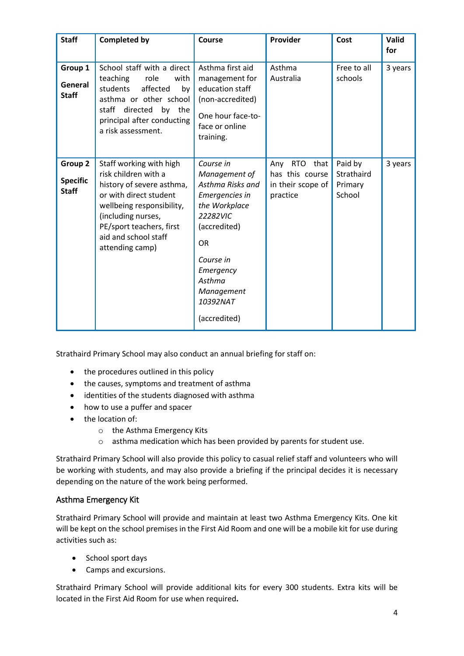| <b>Staff</b>                               | <b>Completed by</b>                                                                                                                                                                                                              | Course                                                                                                                                                                                                   | Provider                                                                      | Cost                                       | Valid<br>for |
|--------------------------------------------|----------------------------------------------------------------------------------------------------------------------------------------------------------------------------------------------------------------------------------|----------------------------------------------------------------------------------------------------------------------------------------------------------------------------------------------------------|-------------------------------------------------------------------------------|--------------------------------------------|--------------|
| Group 1<br>General<br><b>Staff</b>         | School staff with a direct<br>role<br>teaching<br>with<br>students<br>affected<br>by<br>asthma or other school<br>staff directed by the<br>principal after conducting<br>a risk assessment.                                      | Asthma first aid<br>management for<br>education staff<br>(non-accredited)<br>One hour face-to-<br>face or online<br>training.                                                                            | Asthma<br>Australia                                                           | Free to all<br>schools                     | 3 years      |
| Group 2<br><b>Specific</b><br><b>Staff</b> | Staff working with high<br>risk children with a<br>history of severe asthma,<br>or with direct student<br>wellbeing responsibility,<br>(including nurses,<br>PE/sport teachers, first<br>aid and school staff<br>attending camp) | Course in<br>Management of<br>Asthma Risks and<br>Emergencies in<br>the Workplace<br>22282VIC<br>(accredited)<br><b>OR</b><br>Course in<br>Emergency<br>Asthma<br>Management<br>10392NAT<br>(accredited) | that<br><b>RTO</b><br>Any<br>has this course<br>in their scope of<br>practice | Paid by<br>Strathaird<br>Primary<br>School | 3 years      |

Strathaird Primary School may also conduct an annual briefing for staff on:

- the procedures outlined in this policy
- the causes, symptoms and treatment of asthma
- identities of the students diagnosed with asthma
- how to use a puffer and spacer
- the location of:
	- o the Asthma Emergency Kits
	- o asthma medication which has been provided by parents for student use.

Strathaird Primary School will also provide this policy to casual relief staff and volunteers who will be working with students, and may also provide a briefing if the principal decides it is necessary depending on the nature of the work being performed.

# Asthma Emergency Kit

Strathaird Primary School will provide and maintain at least two Asthma Emergency Kits. One kit will be kept on the school premises in the First Aid Room and one will be a mobile kit for use during activities such as:

- School sport days
- Camps and excursions.

Strathaird Primary School will provide additional kits for every 300 students. Extra kits will be located in the First Aid Room for use when required**.**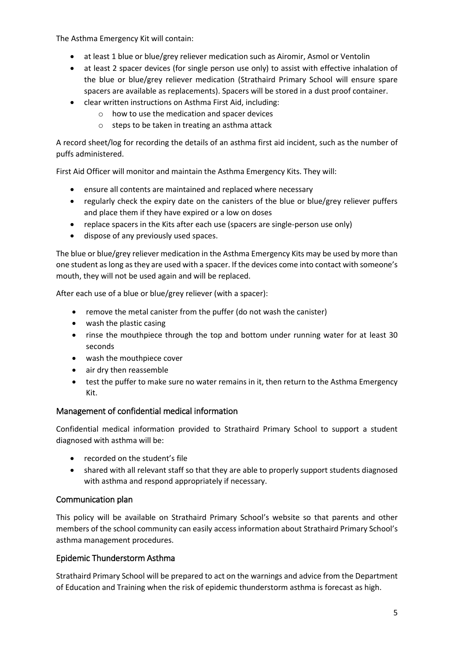The Asthma Emergency Kit will contain:

- at least 1 blue or blue/grey reliever medication such as Airomir, Asmol or Ventolin
- at least 2 spacer devices (for single person use only) to assist with effective inhalation of the blue or blue/grey reliever medication (Strathaird Primary School will ensure spare spacers are available as replacements). Spacers will be stored in a dust proof container.
- clear written instructions on Asthma First Aid, including:
	- o how to use the medication and spacer devices
	- o steps to be taken in treating an asthma attack

A record sheet/log for recording the details of an asthma first aid incident, such as the number of puffs administered.

First Aid Officer will monitor and maintain the Asthma Emergency Kits. They will:

- ensure all contents are maintained and replaced where necessary
- regularly check the expiry date on the canisters of the blue or blue/grey reliever puffers and place them if they have expired or a low on doses
- replace spacers in the Kits after each use (spacers are single-person use only)
- dispose of any previously used spaces.

The blue or blue/grey reliever medication in the Asthma Emergency Kits may be used by more than one student as long as they are used with a spacer. If the devices come into contact with someone's mouth, they will not be used again and will be replaced.

After each use of a blue or blue/grey reliever (with a spacer):

- remove the metal canister from the puffer (do not wash the canister)
- wash the plastic casing
- rinse the mouthpiece through the top and bottom under running water for at least 30 seconds
- wash the mouthpiece cover
- air dry then reassemble
- test the puffer to make sure no water remains in it, then return to the Asthma Emergency Kit.

# Management of confidential medical information

Confidential medical information provided to Strathaird Primary School to support a student diagnosed with asthma will be:

- recorded on the student's file
- shared with all relevant staff so that they are able to properly support students diagnosed with asthma and respond appropriately if necessary.

# Communication plan

This policy will be available on Strathaird Primary School's website so that parents and other members of the school community can easily access information about Strathaird Primary School's asthma management procedures.

# Epidemic Thunderstorm Asthma

Strathaird Primary School will be prepared to act on the warnings and advice from the Department of Education and Training when the risk of epidemic thunderstorm asthma is forecast as high.